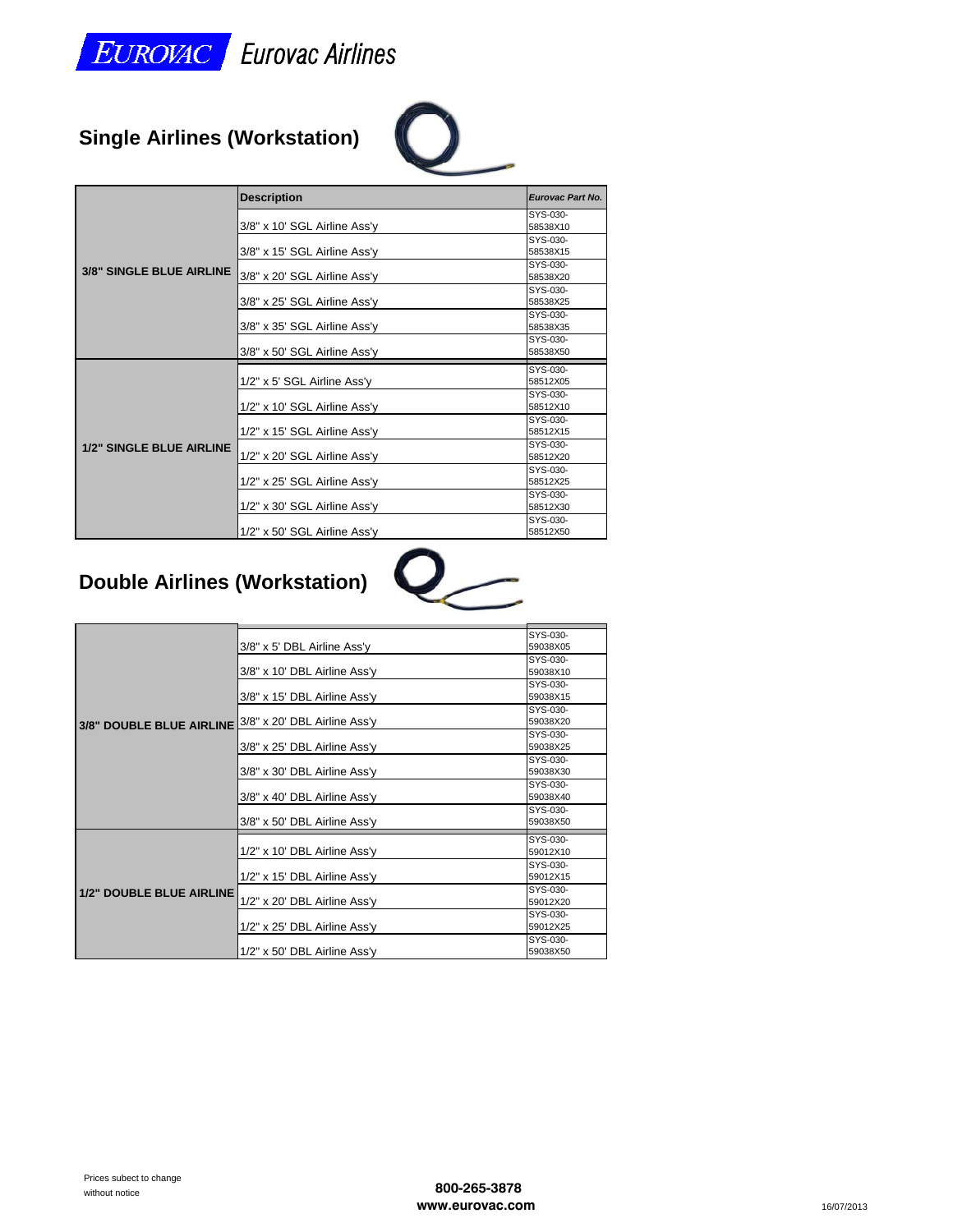

# **Single Airlines (Workstation)**



|                          | <b>Description</b>           | Eurovac Part No. |
|--------------------------|------------------------------|------------------|
|                          |                              | SYS-030-         |
|                          | 3/8" x 10' SGL Airline Ass'y | 58538X10         |
|                          |                              | SYS-030-         |
|                          | 3/8" x 15' SGL Airline Ass'y | 58538X15         |
| 3/8" SINGLE BLUE AIRLINE |                              | SYS-030-         |
|                          | 3/8" x 20' SGL Airline Ass'y | 58538X20         |
|                          |                              | SYS-030-         |
|                          | 3/8" x 25' SGL Airline Ass'y | 58538X25         |
|                          |                              | SYS-030-         |
|                          | 3/8" x 35' SGL Airline Ass'y | 58538X35         |
|                          |                              | SYS-030-         |
|                          | 3/8" x 50' SGL Airline Ass'y | 58538X50         |
|                          |                              | SYS-030-         |
|                          | 1/2" x 5' SGL Airline Ass'y  | 58512X05         |
|                          |                              | SYS-030-         |
|                          | 1/2" x 10' SGL Airline Ass'y | 58512X10         |
|                          |                              | SYS-030-         |
|                          | 1/2" x 15' SGL Airline Ass'y | 58512X15         |
| 1/2" SINGLE BLUE AIRLINE |                              | SYS-030-         |
|                          | 1/2" x 20' SGL Airline Ass'y | 58512X20         |
|                          |                              | SYS-030-         |
|                          | 1/2" x 25' SGL Airline Ass'y | 58512X25         |
|                          |                              | SYS-030-         |
|                          | 1/2" x 30' SGL Airline Ass'y | 58512X30         |
|                          |                              | SYS-030-         |
|                          | 1/2" x 50' SGL Airline Ass'y | 58512X50         |

#### **Double Airlines (Workstation) ( )**



|                                                       | 3/8" x 5' DBL Airline Ass'y  | SYS-030-<br>59038X05 |
|-------------------------------------------------------|------------------------------|----------------------|
|                                                       |                              | SYS-030-             |
|                                                       | 3/8" x 10' DBL Airline Ass'y | 59038X10             |
|                                                       |                              |                      |
|                                                       |                              | SYS-030-             |
|                                                       | 3/8" x 15' DBL Airline Ass'y | 59038X15             |
|                                                       |                              | SYS-030-             |
| 3/8" DOUBLE BLUE AIRLINE 3/8" x 20' DBL Airline Ass'y |                              | 59038X20             |
|                                                       |                              | SYS-030-             |
|                                                       | 3/8" x 25' DBL Airline Ass'y | 59038X25             |
|                                                       |                              | SYS-030-             |
|                                                       | 3/8" x 30' DBL Airline Ass'y | 59038X30             |
|                                                       |                              | SYS-030-             |
|                                                       | 3/8" x 40' DBL Airline Ass'y | 59038X40             |
|                                                       |                              | SYS-030-             |
|                                                       | 3/8" x 50' DBL Airline Ass'y | 59038X50             |
|                                                       |                              | SYS-030-             |
|                                                       | 1/2" x 10' DBL Airline Ass'y | 59012X10             |
|                                                       |                              | SYS-030-             |
|                                                       | 1/2" x 15' DBL Airline Ass'y | 59012X15             |
|                                                       |                              | SYS-030-             |
| 1/2" DOUBLE BLUE AIRLINE                              | 1/2" x 20' DBL Airline Ass'y | 59012X20             |
|                                                       |                              | SYS-030-             |
|                                                       | 1/2" x 25' DBL Airline Ass'y | 59012X25             |
|                                                       |                              | SYS-030-             |
|                                                       | 1/2" x 50' DBL Airline Ass'y | 59038X50             |
|                                                       |                              |                      |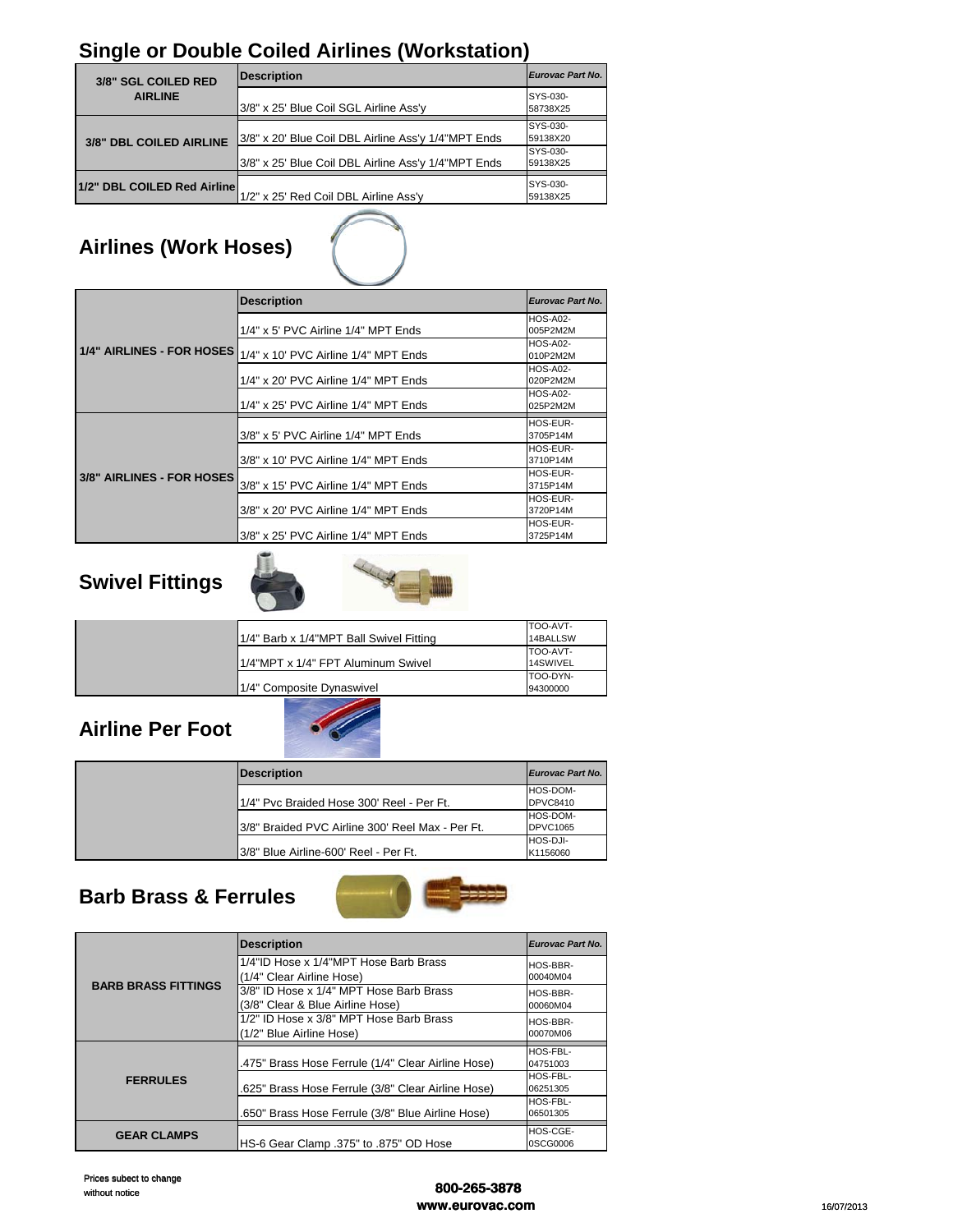### **Single or Double Coiled Airlines (Workstation)**

| 3/8" SGL COILED RED         | <b>Description</b>                                  | Eurovac Part No.                 |
|-----------------------------|-----------------------------------------------------|----------------------------------|
| <b>AIRLINE</b>              | 3/8" x 25' Blue Coil SGL Airline Ass'y              | SYS-030-<br>58738X25             |
| 3/8" DBL COILED AIRLINE     | 3/8" x 20' Blue Coil DBL Airline Ass'y 1/4"MPT Ends | SYS-030-<br>59138X20<br>SYS-030- |
|                             | 3/8" x 25' Blue Coil DBL Airline Ass'y 1/4"MPT Ends | 59138X25                         |
| 1/2" DBL COILED Red Airline | 1/2" x 25' Red Coil DBL Airline Ass'y               | SYS-030-<br>59138X25             |
|                             |                                                     |                                  |

# **Airlines (Work Hoses)**

|                                  | <b>Description</b>                       | Eurovac Part No. |
|----------------------------------|------------------------------------------|------------------|
|                                  |                                          | <b>HOS-A02-</b>  |
|                                  | $1/4"$ x 5' PVC Airline $1/4"$ MPT Ends  | 005P2M2M         |
| <b>1/4" AIRLINES - FOR HOSES</b> |                                          | <b>HOS-A02-</b>  |
|                                  | 1/4" x 10' PVC Airline 1/4" MPT Ends     | 010P2M2M         |
|                                  |                                          | <b>HOS-A02-</b>  |
|                                  | $1/4"$ x 20' PVC Airline $1/4"$ MPT Ends | 020P2M2M         |
|                                  |                                          | <b>HOS-A02-</b>  |
|                                  | $1/4"$ x 25' PVC Airline $1/4"$ MPT Ends | 025P2M2M         |
|                                  |                                          | HOS-EUR-         |
|                                  |                                          |                  |
|                                  | 3/8" x 5' PVC Airline 1/4" MPT Ends      | 3705P14M         |
|                                  |                                          | HOS-EUR-         |
|                                  | 3/8" x 10' PVC Airline 1/4" MPT Ends     | 3710P14M         |
|                                  |                                          | HOS-EUR-         |
| 3/8" AIRLINES - FOR HOSES        | 3/8" x 15' PVC Airline 1/4" MPT Ends     | 3715P14M         |
|                                  |                                          | HOS-EUR-         |
|                                  | 3/8" x 20' PVC Airline 1/4" MPT Ends     | 3720P14M         |
|                                  |                                          | HOS-EUR-         |

#### **Swivel Fittings g**



|                                         | TOO-AVT- |
|-----------------------------------------|----------|
| 1/4" Barb x 1/4"MPT Ball Swivel Fitting | 14BALLSW |
|                                         | TOO-AVT- |
| 1/4"MPT x 1/4" FPT Aluminum Swivel      | 14SWIVEL |
|                                         | TOO-DYN- |
| 1/4" Composite Dynaswivel               | 94300000 |

#### **Airline Per Foot**



| Description                                       | Eurovac Part No. |
|---------------------------------------------------|------------------|
|                                                   | HOS-DOM-         |
| 1/4" Pvc Braided Hose 300' Reel - Per Ft.         | <b>DPVC8410</b>  |
|                                                   | HOS-DOM-         |
| I3/8" Braided PVC Airline 300' Reel Max - Per Ft. | DPVC1065         |
|                                                   | HOS-DJI-         |
| I3/8" Blue Airline-600' Reel - Per Ft.            | K1156060         |

#### **Barb Brass & Ferrules**



| <b>BARB BRASS FITTINGS</b> | <b>Description</b>                                 | <b>Eurovac Part No.</b> |
|----------------------------|----------------------------------------------------|-------------------------|
|                            | 1/4"ID Hose x 1/4"MPT Hose Barb Brass              | HOS-BBR-                |
|                            | (1/4" Clear Airline Hose)                          | 00040M04                |
|                            | 3/8" ID Hose x 1/4" MPT Hose Barb Brass            | HOS-BBR-                |
|                            | (3/8" Clear & Blue Airline Hose)                   | 00060M04                |
|                            | 1/2" ID Hose x 3/8" MPT Hose Barb Brass            | HOS-BBR-                |
|                            | (1/2" Blue Airline Hose)                           | 00070M06                |
|                            |                                                    | HOS-FBL-                |
|                            | .475" Brass Hose Ferrule (1/4" Clear Airline Hose) | 04751003                |
| <b>FERRULES</b>            |                                                    | HOS-FBL-                |
|                            | .625" Brass Hose Ferrule (3/8" Clear Airline Hose) | 06251305                |
|                            |                                                    | HOS-FBL-                |
|                            | .650" Brass Hose Ferrule (3/8" Blue Airline Hose)  | 06501305                |
| <b>GEAR CLAMPS</b>         |                                                    | HOS-CGE-                |
|                            | HS-6 Gear Clamp .375" to .875" OD Hose             | 0SCG0006                |